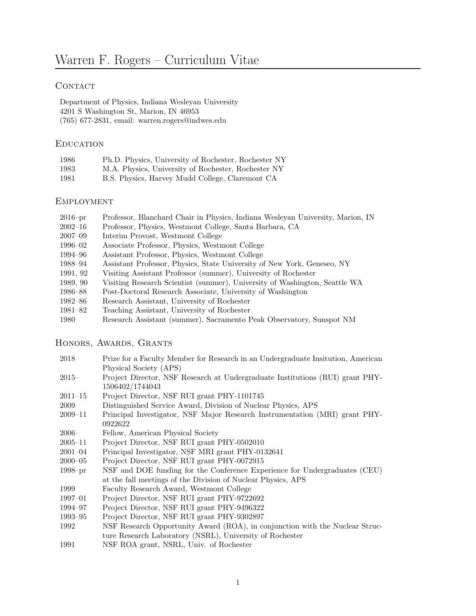# CONTACT

Department of Physics, Indiana Wesleyan University 4201 S Washington St, Marion, IN 46953 (765) 677-2831, email: warren.rogers@indwes.edu

## **EDUCATION**

| 1986 | Ph.D. Physics, University of Rochester, Rochester NY |
|------|------------------------------------------------------|
| 1983 | M.A. Physics, University of Rochester, Rochester NY  |
| 1981 | B.S. Physics, Harvey Mudd College, Claremont CA      |

## **EMPLOYMENT**

- 2016–pr Professor, Blanchard Chair in Physics, Indiana Wesleyan University, Marion, IN
- 2002–16 Professor, Physics, Westmont College, Santa Barbara, CA
- 2007–09 Interim Provost, Westmont College
- 1996–02 Associate Professor, Physics, Westmont College
- 1994–96 Assistant Professor, Physics, Westmont College
- 1988–94 Assistant Professor, Physics, State University of New York, Geneseo, NY
- 1991, 92 Visiting Assistant Professor (summer), University of Rochester
- 1989, 90 Visiting Research Scientist (summer), University of Washington, Seattle WA
- 1986–88 Post-Doctoral Research Associate, University of Washington
- 1982–86 Research Assistant, University of Rochester
- 1981–82 Teaching Assistant, University of Rochester
- 1980 Research Assistant (summer), Sacramento Peak Observatory, Sunspot NM

## HONORS, AWARDS, GRANTS

| 2018 | Prize for a Faculty Member for Research in an Undergraduate Institution, American |
|------|-----------------------------------------------------------------------------------|
|      | Physical Society (APS)                                                            |

- 2015– Project Director, NSF Research at Undergraduate Institutions (RUI) grant PHY-1506402/1744043
- 2011–15 Project Director, NSF RUI grant PHY-1101745
- 2009 Distinguished Service Award, Division of Nuclear Physics, APS
- 2009–11 Principal Investigator, NSF Major Research Instrumentation (MRI) grant PHY-0922622
- 2006– Fellow, American Physical Society
- 2005–11 Project Director, NSF RUI grant PHY-0502010
- 2001–04 Principal Investigator, NSF MRI grant PHY-0132641
- 2000–05 Project Director, NSF RUI grant PHY-0072915
- 1998–pr NSF and DOE funding for the Conference Experience for Undergraduates (CEU) at the fall meetings of the Division of Nuclear Physics, APS
- 1999 Faculty Research Award, Westmont College
- 1997–01 Project Director, NSF RUI grant PHY-9722692
- 1994–97 Project Director, NSF RUI grant PHY-9496322
- 1993–95 Project Director, NSF RUI grant PHY-9302897
- 1992 NSF Research Opportunity Award (ROA), in conjunction with the Nuclear Structure Research Laboratory (NSRL), University of Rochester
- 1991 NSF ROA grant, NSRL, Univ. of Rochester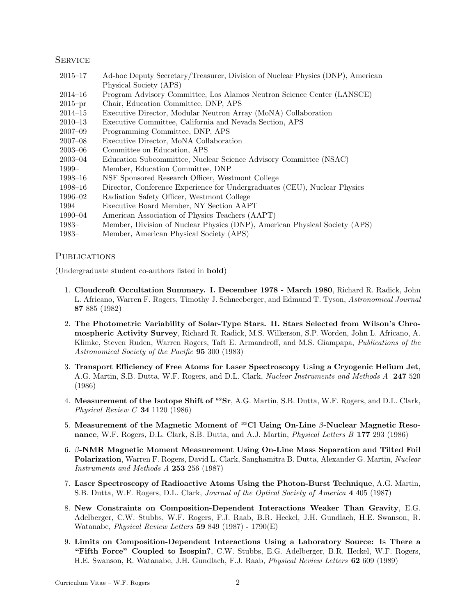#### **SERVICE**

- 2015–17 Ad-hoc Deputy Secretary/Treasurer, Division of Nuclear Physics (DNP), American Physical Society (APS)
- 2014–16 Program Advisory Committee, Los Alamos Neutron Science Center (LANSCE)
- 2015–pr Chair, Education Committee, DNP, APS
- 2014–15 Executive Director, Modular Neutron Array (MoNA) Collaboration
- 2010–13 Executive Committee, California and Nevada Section, APS
- 2007–09 Programming Committee, DNP, APS
- 2007–08 Executive Director, MoNA Collaboration
- 2003–06 Committee on Education, APS
- 2003–04 Education Subcommittee, Nuclear Science Advisory Committee (NSAC)
- 1999– Member, Education Committee, DNP
- 1998–16 NSF Sponsored Research Officer, Westmont College
- 1998–16 Director, Conference Experience for Undergraduates (CEU), Nuclear Physics
- 1996–02 Radiation Safety Officer, Westmont College
- 1994 Executive Board Member, NY Section AAPT
- 1990–04 American Association of Physics Teachers (AAPT)
- 1983– Member, Division of Nuclear Physics (DNP), American Physical Society (APS)
- 1983– Member, American Physical Society (APS)

#### **PUBLICATIONS**

(Undergraduate student co-authors listed in bold)

- 1. Cloudcroft Occultation Summary. I. December 1978 March 1980, Richard R. Radick, John L. Africano, Warren F. Rogers, Timothy J. Schneeberger, and Edmund T. Tyson, Astronomical Journal 87 885 (1982)
- 2. The Photometric Variability of Solar-Type Stars. II. Stars Selected from Wilson's Chromospheric Activity Survey, Richard R. Radick, M.S. Wilkerson, S.P. Worden, John L. Africano, A. Klimke, Steven Ruden, Warren Rogers, Taft E. Armandroff, and M.S. Giampapa, *Publications of the* Astronomical Society of the Pacific 95 300 (1983)
- 3. Transport Efficiency of Free Atoms for Laser Spectroscopy Using a Cryogenic Helium Jet, A.G. Martin, S.B. Dutta, W.F. Rogers, and D.L. Clark, *Nuclear Instruments and Methods A* 247 520 (1986)
- 4. Measurement of the Isotope Shift of <sup>82</sup>Sr, A.G. Martin, S.B. Dutta, W.F. Rogers, and D.L. Clark, Physical Review  $C$  34 1120 (1986)
- 5. Measurement of the Magnetic Moment of  $^{33}$ Cl Using On-Line β-Nuclear Magnetic Resonance, W.F. Rogers, D.L. Clark, S.B. Dutta, and A.J. Martin, *Physical Letters B* 177 293 (1986)
- 6. β-NMR Magnetic Moment Measurement Using On-Line Mass Separation and Tilted Foil Polarization, Warren F. Rogers, David L. Clark, Sanghamitra B. Dutta, Alexander G. Martin, Nuclear Instruments and Methods A 253 256 (1987)
- 7. Laser Spectroscopy of Radioactive Atoms Using the Photon-Burst Technique, A.G. Martin, S.B. Dutta, W.F. Rogers, D.L. Clark, Journal of the Optical Society of America 4 405 (1987)
- 8. New Constraints on Composition-Dependent Interactions Weaker Than Gravity, E.G. Adelberger, C.W. Stubbs, W.F. Rogers, F.J. Raab, B.R. Heckel, J.H. Gundlach, H.E. Swanson, R. Watanabe, Physical Review Letters 59 849 (1987) - 1790(E)
- 9. Limits on Composition-Dependent Interactions Using a Laboratory Source: Is There a "Fifth Force" Coupled to Isospin?, C.W. Stubbs, E.G. Adelberger, B.R. Heckel, W.F. Rogers, H.E. Swanson, R. Watanabe, J.H. Gundlach, F.J. Raab, Physical Review Letters 62 609 (1989)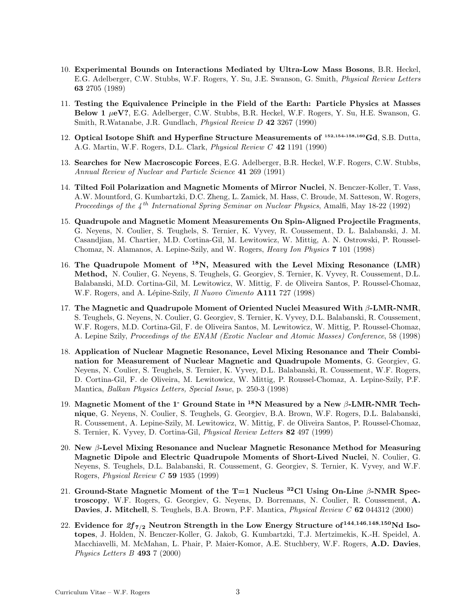- 10. Experimental Bounds on Interactions Mediated by Ultra-Low Mass Bosons, B.R. Heckel, E.G. Adelberger, C.W. Stubbs, W.F. Rogers, Y. Su, J.E. Swanson, G. Smith, *Physical Review Letters* 63 2705 (1989)
- 11. Testing the Equivalence Principle in the Field of the Earth: Particle Physics at Masses Below 1  $\mu$ eV?, E.G. Adelberger, C.W. Stubbs, B.R. Heckel, W.F. Rogers, Y. Su, H.E. Swanson, G. Smith, R.Watanabe, J.R. Gundlach, *Physical Review D* 42 3267 (1990)
- 12. Optical Isotope Shift and Hyperfine Structure Measurements of 152,154-158,160Gd, S.B. Dutta, A.G. Martin, W.F. Rogers, D.L. Clark, Physical Review C 42 1191 (1990)
- 13. Searches for New Macroscopic Forces, E.G. Adelberger, B.R. Heckel, W.F. Rogers, C.W. Stubbs, Annual Review of Nuclear and Particle Science 41 269 (1991)
- 14. Tilted Foil Polarization and Magnetic Moments of Mirror Nuclei, N. Benczer-Koller, T. Vass, A.W. Mountford, G. Kumbartzki, D.C. Zheng, L. Zamick, M. Hass, C. Broude, M. Satteson, W. Rogers, Proceedings of the  $4^{th}$  International Spring Seminar on Nuclear Physics, Amalfi, May 18-22 (1992)
- 15. Quadrupole and Magnetic Moment Measurements On Spin-Aligned Projectile Fragments, G. Neyens, N. Coulier, S. Teughels, S. Ternier, K. Vyvey, R. Coussement, D. L. Balabanski, J. M. Casandjian, M. Chartier, M.D. Cortina-Gil, M. Lewitowicz, W. Mittig, A. N. Ostrowski, P. Roussel-Chomaz, N. Alamanos, A. Lepine-Szily, and W. Rogers, Heavy Ion Physics 7 101 (1998)
- 16. The Quadrupole Moment of <sup>18</sup>N, Measured with the Level Mixing Resonance (LMR) Method, N. Coulier, G. Neyens, S. Teughels, G. Georgiev, S. Ternier, K. Vyvey, R. Coussement, D.L. Balabanski, M.D. Cortina-Gil, M. Lewitowicz, W. Mittig, F. de Oliveira Santos, P. Roussel-Chomaz, W.F. Rogers, and A. Lépine-Szily, *Il Nuovo Cimento* A111 727 (1998)
- 17. The Magnetic and Quadrupole Moment of Oriented Nuclei Measured With  $\beta$ -LMR-NMR, S. Teughels, G. Neyens, N. Coulier, G. Georgiev, S. Ternier, K. Vyvey, D.L. Balabanski, R. Coussement, W.F. Rogers, M.D. Cortina-Gil, F. de Oliveira Santos, M. Lewitowicz, W. Mittig, P. Roussel-Chomaz, A. Lepine Szily, Proceedings of the ENAM (Exotic Nuclear and Atomic Masses) Conference, 58 (1998)
- 18. Application of Nuclear Magnetic Resonance, Level Mixing Resonance and Their Combination for Measurement of Nuclear Magnetic and Quadrupole Moments, G. Georgiev, G. Neyens, N. Coulier, S. Teughels, S. Ternier, K. Vyvey, D.L. Balabanski, R. Coussement, W.F. Rogers, D. Cortina-Gil, F. de Oliveira, M. Lewitowicz, W. Mittig, P. Roussel-Chomaz, A. Lepine-Szily, P.F. Mantica, Balkan Physics Letters, Special Issue, p. 250-3 (1998)
- 19. Magnetic Moment of the 1<sup>-</sup> Ground State in <sup>18</sup>N Measured by a New  $\beta$ -LMR-NMR Technique, G. Neyens, N. Coulier, S. Teughels, G. Georgiev, B.A. Brown, W.F. Rogers, D.L. Balabanski, R. Coussement, A. Lepine-Szily, M. Lewitowicz, W. Mittig, F. de Oliveira Santos, P. Roussel-Chomaz, S. Ternier, K. Vyvey, D. Cortina-Gil, *Physical Review Letters* 82 497 (1999)
- 20. New β-Level Mixing Resonance and Nuclear Magnetic Resonance Method for Measuring Magnetic Dipole and Electric Quadrupole Moments of Short-Lived Nuclei, N. Coulier, G. Neyens, S. Teughels, D.L. Balabanski, R. Coussement, G. Georgiev, S. Ternier, K. Vyvey, and W.F. Rogers, Physical Review C 59 1935 (1999)
- 21. Ground-State Magnetic Moment of the T=1 Nucleus <sup>32</sup>Cl Using On-Line  $\beta$ -NMR Spectroscopy, W.F. Rogers, G. Georgiev, G. Neyens, D. Borremans, N. Coulier, R. Coussement, A. Davies, J. Mitchell, S. Teughels, B.A. Brown, P.F. Mantica, *Physical Review C* 62 044312 (2000)
- 22. Evidence for  $2f_{7/2}$  Neutron Strength in the Low Energy Structure of  $^{144,146,148,150}$ Nd Isotopes, J. Holden, N. Benczer-Koller, G. Jakob, G. Kumbartzki, T.J. Mertzimekis, K.-H. Speidel, A. Macchiavelli, M. McMahan, L. Phair, P. Maier-Komor, A.E. Stuchbery, W.F. Rogers, A.D. Davies, Physics Letters B 493 7 (2000)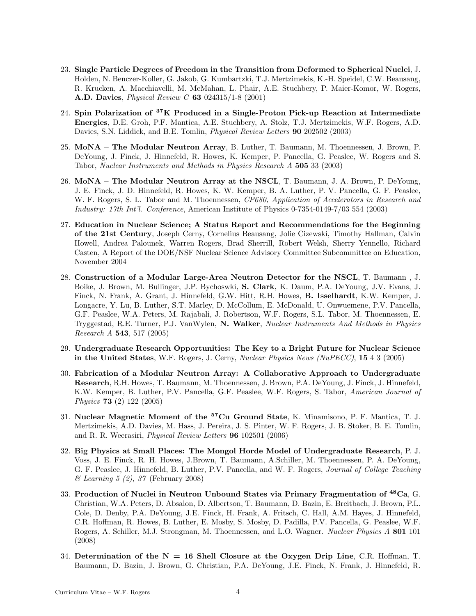- 23. Single Particle Degrees of Freedom in the Transition from Deformed to Spherical Nuclei, J. Holden, N. Benczer-Koller, G. Jakob, G. Kumbartzki, T.J. Mertzimekis, K.-H. Speidel, C.W. Beausang, R. Krucken, A. Macchiavelli, M. McMahan, L. Phair, A.E. Stuchbery, P. Maier-Komor, W. Rogers, A.D. Davies, Physical Review C 63 024315/1-8 (2001)
- 24. Spin Polarization of <sup>37</sup>K Produced in a Single-Proton Pick-up Reaction at Intermediate Energies, D.E. Groh, P.F. Mantica, A.E. Stuchbery, A. Stolz, T.J. Mertzimekis, W.F. Rogers, A.D. Davies, S.N. Liddick, and B.E. Tomlin, *Physical Review Letters* **90** 202502 (2003)
- 25. MoNA The Modular Neutron Array, B. Luther, T. Baumann, M. Thoennessen, J. Brown, P. DeYoung, J. Finck, J. Hinnefeld, R. Howes, K. Kemper, P. Pancella, G. Peaslee, W. Rogers and S. Tabor, Nuclear Instruments and Methods in Physics Research A 505 33 (2003)
- 26. MoNA The Modular Neutron Array at the NSCL, T. Baumann, J. A. Brown, P. DeYoung, J. E. Finck, J. D. Hinnefeld, R. Howes, K. W. Kemper, B. A. Luther, P. V. Pancella, G. F. Peaslee, W. F. Rogers, S. L. Tabor and M. Thoennessen, CP680, Application of Accelerators in Research and Industry: 17th Int'l. Conference, American Institute of Physics 0-7354-0149-7/03 554 (2003)
- 27. Education in Nuclear Science; A Status Report and Recommendations for the Beginning of the 21st Century, Joseph Cerny, Cornelius Beausang, Jolie Cizewski, Timothy Hallman, Calvin Howell, Andrea Palounek, Warren Rogers, Brad Sherrill, Robert Welsh, Sherry Yennello, Richard Casten, A Report of the DOE/NSF Nuclear Science Advisory Committee Subcommittee on Education, November 2004
- 28. Construction of a Modular Large-Area Neutron Detector for the NSCL, T. Baumann , J. Boike, J. Brown, M. Bullinger, J.P. Bychoswki, S. Clark, K. Daum, P.A. DeYoung, J.V. Evans, J. Finck, N. Frank, A. Grant, J. Hinnefeld, G.W. Hitt, R.H. Howes, B. Isselhardt, K.W. Kemper, J. Longacre, Y. Lu, B. Luther, S.T. Marley, D. McCollum, E. McDonald, U. Onwuemene, P.V. Pancella, G.F. Peaslee, W.A. Peters, M. Rajabali, J. Robertson, W.F. Rogers, S.L. Tabor, M. Thoennessen, E. Tryggestad, R.E. Turner, P.J. VanWylen, N. Walker, Nuclear Instruments And Methods in Physics Research A 543, 517 (2005)
- 29. Undergraduate Research Opportunities: The Key to a Bright Future for Nuclear Science in the United States, W.F. Rogers, J. Cerny, Nuclear Physics News (NuPECC), 15 4 3 (2005)
- 30. Fabrication of a Modular Neutron Array: A Collaborative Approach to Undergraduate Research, R.H. Howes, T. Baumann, M. Thoennessen, J. Brown, P.A. DeYoung, J. Finck, J. Hinnefeld, K.W. Kemper, B. Luther, P.V. Pancella, G.F. Peaslee, W.F. Rogers, S. Tabor, *American Journal of* Physics 73 (2) 122 (2005)
- 31. Nuclear Magnetic Moment of the <sup>57</sup>Cu Ground State, K. Minamisono, P. F. Mantica, T. J. Mertzimekis, A.D. Davies, M. Hass, J. Pereira, J. S. Pinter, W. F. Rogers, J. B. Stoker, B. E. Tomlin, and R. R. Weerasiri, Physical Review Letters 96 102501 (2006)
- 32. Big Physics at Small Places: The Mongol Horde Model of Undergraduate Research, P. J. Voss, J. E. Finck, R. H. Howes, J.Brown, T. Baumann, A.Schiller, M. Thoennessen, P. A. DeYoung, G. F. Peaslee, J. Hinnefeld, B. Luther, P.V. Pancella, and W. F. Rogers, *Journal of College Teaching* & Learning 5 (2), 37 (February 2008)
- 33. Production of Nuclei in Neutron Unbound States via Primary Fragmentation of <sup>48</sup>Ca, G. Christian, W.A. Peters, D. Absalon, D. Albertson, T. Baumann, D. Bazin, E. Breitbach, J. Brown, P.L. Cole, D. Denby, P.A. DeYoung, J.E. Finck, H. Frank, A. Fritsch, C. Hall, A.M. Hayes, J. Hinnefeld, C.R. Hoffman, R. Howes, B. Luther, E. Mosby, S. Mosby, D. Padilla, P.V. Pancella, G. Peaslee, W.F. Rogers, A. Schiller, M.J. Strongman, M. Thoennessen, and L.O. Wagner. *Nuclear Physics A* 801 101 (2008)
- 34. Determination of the  $N = 16$  Shell Closure at the Oxygen Drip Line, C.R. Hoffman, T. Baumann, D. Bazin, J. Brown, G. Christian, P.A. DeYoung, J.E. Finck, N. Frank, J. Hinnefeld, R.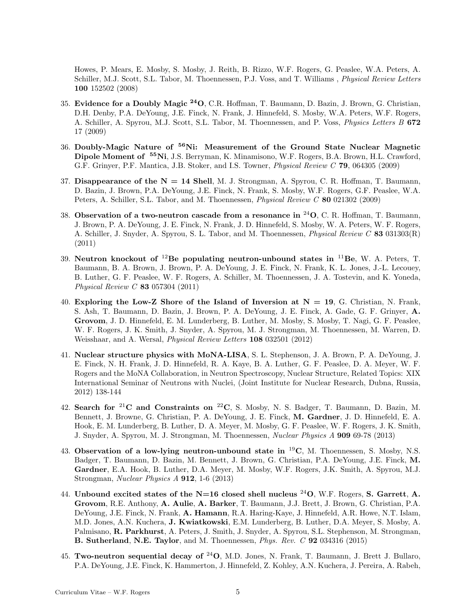Howes, P. Mears, E. Mosby, S. Mosby, J. Reith, B. Rizzo, W.F. Rogers, G. Peaslee, W.A. Peters, A. Schiller, M.J. Scott, S.L. Tabor, M. Thoennessen, P.J. Voss, and T. Williams, *Physical Review Letters* 100 152502 (2008)

- 35. Evidence for a Doubly Magic <sup>24</sup>O, C.R. Hoffman, T. Baumann, D. Bazin, J. Brown, G. Christian, D.H. Denby, P.A. DeYoung, J.E. Finck, N. Frank, J. Hinnefeld, S. Mosby, W.A. Peters, W.F. Rogers, A. Schiller, A. Spyrou, M.J. Scott, S.L. Tabor, M. Thoennessen, and P. Voss, *Physics Letters B* 672 17 (2009)
- 36. Doubly-Magic Nature of <sup>56</sup>Ni: Measurement of the Ground State Nuclear Magnetic Dipole Moment of <sup>55</sup>Ni, J.S. Berryman, K. Minamisono, W.F. Rogers, B.A. Brown, H.L. Crawford, G.F. Grinyer, P.F. Mantica, J.B. Stoker, and I.S. Towner, *Physical Review C* 79, 064305 (2009)
- 37. Disappearance of the  $N = 14$  Shell, M. J. Strongman, A. Spyrou, C. R. Hoffman, T. Baumann, D. Bazin, J. Brown, P.A. DeYoung, J.E. Finck, N. Frank, S. Mosby, W.F. Rogers, G.F. Peaslee, W.A. Peters, A. Schiller, S.L. Tabor, and M. Thoennessen, *Physical Review C* 80 021302 (2009)
- 38. Observation of a two-neutron cascade from a resonance in  $^{24}O$ , C. R. Hoffman, T. Baumann, J. Brown, P. A. DeYoung, J. E. Finck, N. Frank, J. D. Hinnefeld, S. Mosby, W. A. Peters, W. F. Rogers, A. Schiller, J. Snyder, A. Spyrou, S. L. Tabor, and M. Thoennessen, *Physical Review C* 83 031303(R) (2011)
- 39. Neutron knockout of  $^{12}$ Be populating neutron-unbound states in  $^{11}$ Be, W. A. Peters, T. Baumann, B. A. Brown, J. Brown, P. A. DeYoung, J. E. Finck, N. Frank, K. L. Jones, J.-L. Lecouey, B. Luther, G. F. Peaslee, W. F. Rogers, A. Schiller, M. Thoennessen, J. A. Tostevin, and K. Yoneda, Physical Review C 83 057304 (2011)
- 40. Exploring the Low-Z Shore of the Island of Inversion at  $N = 19$ , G. Christian, N. Frank, S. Ash, T. Baumann, D. Bazin, J. Brown, P. A. DeYoung, J. E. Finck, A. Gade, G. F. Grinyer, A. Grovom, J. D. Hinnefeld, E. M. Lunderberg, B. Luther, M. Mosby, S. Mosby, T. Nagi, G. F. Peaslee, W. F. Rogers, J. K. Smith, J. Snyder, A. Spyrou, M. J. Strongman, M. Thoennessen, M. Warren, D. Weisshaar, and A. Wersal, Physical Review Letters 108 032501 (2012)
- 41. Nuclear structure physics with MoNA-LISA, S. L. Stephenson, J. A. Brown, P. A. DeYoung, J. E. Finck, N. H. Frank, J. D. Hinnefeld, R. A. Kaye, B. A. Luther, G. F. Peaslee, D. A. Meyer, W. F. Rogers and the MoNA Collaboration, in Neutron Spectroscopy, Nuclear Structure, Related Topics: XIX International Seminar of Neutrons with Nuclei, (Joint Institute for Nuclear Research, Dubna, Russia, 2012) 138-144
- 42. Search for <sup>21</sup>C and Constraints on <sup>22</sup>C, S. Mosby, N. S. Badger, T. Baumann, D. Bazin, M. Bennett, J. Browne, G. Christian, P. A. DeYoung, J. E. Finck, M. Gardner, J. D. Hinnefeld, E. A. Hook, E. M. Lunderberg, B. Luther, D. A. Meyer, M. Mosby, G. F. Peaslee, W. F. Rogers, J. K. Smith, J. Snyder, A. Spyrou, M. J. Strongman, M. Thoennessen, Nuclear Physics A 909 69-78 (2013)
- 43. Observation of a low-lying neutron-unbound state in  ${}^{19}C$ , M. Thoennessen, S. Mosby, N.S. Badger, T. Baumann, D. Bazin, M. Bennett, J. Brown, G. Christian, P.A. DeYoung, J.E. Finck, M. Gardner, E.A. Hook, B. Luther, D.A. Meyer, M. Mosby, W.F. Rogers, J.K. Smith, A. Spyrou, M.J. Strongman, Nuclear Physics A 912, 1-6 (2013)
- 44. Unbound excited states of the  $N=16$  closed shell nucleus <sup>24</sup>O, W.F. Rogers, S. Garrett, A. Grovom, R.E. Anthony, A. Aulie, A. Barker, T. Baumann, J.J. Brett, J. Brown, G. Christian, P.A. DeYoung, J.E. Finck, N. Frank, A. Hamann, R.A. Haring-Kaye, J. Hinnefeld, A.R. Howe, N.T. Islam, M.D. Jones, A.N. Kuchera, J. Kwiatkowski, E.M. Lunderberg, B. Luther, D.A. Meyer, S. Mosby, A. Palmisano, R. Parkhurst, A. Peters, J. Smith, J. Snyder, A. Spyrou, S.L. Stephenson, M. Strongman, **B.** Sutherland, N.E. Taylor, and M. Thoennessen,  $Phys. Rev. C$  **92** 034316 (2015)
- 45. Two-neutron sequential decay of  $^{24}O$ , M.D. Jones, N. Frank, T. Baumann, J. Brett J. Bullaro, P.A. DeYoung, J.E. Finck, K. Hammerton, J. Hinnefeld, Z. Kohley, A.N. Kuchera, J. Pereira, A. Rabeh,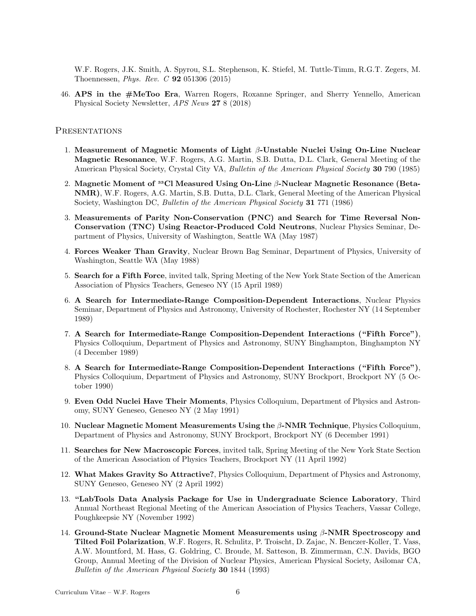W.F. Rogers, J.K. Smith, A. Spyrou, S.L. Stephenson, K. Stiefel, M. Tuttle-Timm, R.G.T. Zegers, M. Thoennessen, Phys. Rev. C 92 051306 (2015)

46. APS in the #MeToo Era, Warren Rogers, Roxanne Springer, and Sherry Yennello, American Physical Society Newsletter, APS News 27 8 (2018)

#### **PRESENTATIONS**

- 1. Measurement of Magnetic Moments of Light  $\beta$ -Unstable Nuclei Using On-Line Nuclear Magnetic Resonance, W.F. Rogers, A.G. Martin, S.B. Dutta, D.L. Clark, General Meeting of the American Physical Society, Crystal City VA, *Bulletin of the American Physical Society* 30 790 (1985)
- 2. Magnetic Moment of <sup>33</sup>Cl Measured Using On-Line β-Nuclear Magnetic Resonance (Beta-NMR), W.F. Rogers, A.G. Martin, S.B. Dutta, D.L. Clark, General Meeting of the American Physical Society, Washington DC, *Bulletin of the American Physical Society* **31** 771 (1986)
- 3. Measurements of Parity Non-Conservation (PNC) and Search for Time Reversal Non-Conservation (TNC) Using Reactor-Produced Cold Neutrons, Nuclear Physics Seminar, Department of Physics, University of Washington, Seattle WA (May 1987)
- 4. Forces Weaker Than Gravity, Nuclear Brown Bag Seminar, Department of Physics, University of Washington, Seattle WA (May 1988)
- 5. Search for a Fifth Force, invited talk, Spring Meeting of the New York State Section of the American Association of Physics Teachers, Geneseo NY (15 April 1989)
- 6. A Search for Intermediate-Range Composition-Dependent Interactions, Nuclear Physics Seminar, Department of Physics and Astronomy, University of Rochester, Rochester NY (14 September 1989)
- 7. A Search for Intermediate-Range Composition-Dependent Interactions ("Fifth Force"), Physics Colloquium, Department of Physics and Astronomy, SUNY Binghampton, Binghampton NY (4 December 1989)
- 8. A Search for Intermediate-Range Composition-Dependent Interactions ("Fifth Force"), Physics Colloquium, Department of Physics and Astronomy, SUNY Brockport, Brockport NY (5 October 1990)
- 9. Even Odd Nuclei Have Their Moments, Physics Colloquium, Department of Physics and Astronomy, SUNY Geneseo, Geneseo NY (2 May 1991)
- 10. Nuclear Magnetic Moment Measurements Using the β-NMR Technique, Physics Colloquium, Department of Physics and Astronomy, SUNY Brockport, Brockport NY (6 December 1991)
- 11. Searches for New Macroscopic Forces, invited talk, Spring Meeting of the New York State Section of the American Association of Physics Teachers, Brockport NY (11 April 1992)
- 12. What Makes Gravity So Attractive?, Physics Colloquium, Department of Physics and Astronomy, SUNY Geneseo, Geneseo NY (2 April 1992)
- 13. "LabTools Data Analysis Package for Use in Undergraduate Science Laboratory, Third Annual Northeast Regional Meeting of the American Association of Physics Teachers, Vassar College, Poughkeepsie NY (November 1992)
- 14. Ground-State Nuclear Magnetic Moment Measurements using β-NMR Spectroscopy and Tilted Foil Polarization, W.F. Rogers, R. Schulitz, P. Troischt, D. Zajac, N. Benczer-Koller, T. Vass, A.W. Mountford, M. Hass, G. Goldring, C. Broude, M. Satteson, B. Zimmerman, C.N. Davids, BGO Group, Annual Meeting of the Division of Nuclear Physics, American Physical Society, Asilomar CA, Bulletin of the American Physical Society 30 1844 (1993)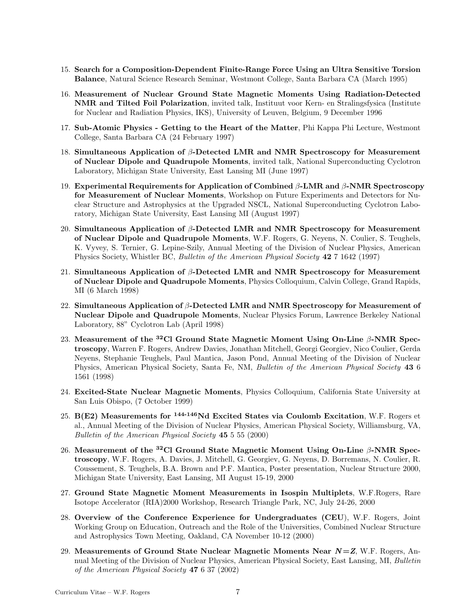- 15. Search for a Composition-Dependent Finite-Range Force Using an Ultra Sensitive Torsion Balance, Natural Science Research Seminar, Westmont College, Santa Barbara CA (March 1995)
- 16. Measurement of Nuclear Ground State Magnetic Moments Using Radiation-Detected NMR and Tilted Foil Polarization, invited talk, Instituut voor Kern- en Stralingsfysica (Institute for Nuclear and Radiation Physics, IKS), University of Leuven, Belgium, 9 December 1996
- 17. Sub-Atomic Physics Getting to the Heart of the Matter, Phi Kappa Phi Lecture, Westmont College, Santa Barbara CA (24 February 1997)
- 18. Simultaneous Application of β-Detected LMR and NMR Spectroscopy for Measurement of Nuclear Dipole and Quadrupole Moments, invited talk, National Superconducting Cyclotron Laboratory, Michigan State University, East Lansing MI (June 1997)
- 19. Experimental Requirements for Application of Combined β-LMR and β-NMR Spectroscopy for Measurement of Nuclear Moments, Workshop on Future Experiments and Detectors for Nuclear Structure and Astrophysics at the Upgraded NSCL, National Superconducting Cyclotron Laboratory, Michigan State University, East Lansing MI (August 1997)
- 20. Simultaneous Application of β-Detected LMR and NMR Spectroscopy for Measurement of Nuclear Dipole and Quadrupole Moments, W.F. Rogers, G. Neyens, N. Coulier, S. Teughels, K. Vyvey, S. Ternier, G. Lepine-Szily, Annual Meeting of the Division of Nuclear Physics, American Physics Society, Whistler BC, Bulletin of the American Physical Society 42 7 1642 (1997)
- 21. Simultaneous Application of  $\beta$ -Detected LMR and NMR Spectroscopy for Measurement of Nuclear Dipole and Quadrupole Moments, Physics Colloquium, Calvin College, Grand Rapids, MI (6 March 1998)
- 22. Simultaneous Application of  $\beta$ -Detected LMR and NMR Spectroscopy for Measurement of Nuclear Dipole and Quadrupole Moments, Nuclear Physics Forum, Lawrence Berkeley National Laboratory, 88" Cyclotron Lab (April 1998)
- 23. Measurement of the <sup>32</sup>Cl Ground State Magnetic Moment Using On-Line  $\beta$ -NMR Spectroscopy, Warren F. Rogers, Andrew Davies, Jonathan Mitchell, Georgi Georgiev, Nico Coulier, Gerda Neyens, Stephanie Teughels, Paul Mantica, Jason Pond, Annual Meeting of the Division of Nuclear Physics, American Physical Society, Santa Fe, NM, Bulletin of the American Physical Society 43 6 1561 (1998)
- 24. Excited-State Nuclear Magnetic Moments, Physics Colloquium, California State University at San Luis Obispo, (7 October 1999)
- 25.  $B(E2)$  Measurements for <sup>144-146</sup>Nd Excited States via Coulomb Excitation, W.F. Rogers et al., Annual Meeting of the Division of Nuclear Physics, American Physical Society, Williamsburg, VA, Bulletin of the American Physical Society 45 5 55 (2000)
- 26. Measurement of the <sup>32</sup>Cl Ground State Magnetic Moment Using On-Line  $\beta$ -NMR Spectroscopy, W.F. Rogers, A. Davies, J. Mitchell, G. Georgiev, G. Neyens, D. Borremans, N. Coulier, R. Coussement, S. Teughels, B.A. Brown and P.F. Mantica, Poster presentation, Nuclear Structure 2000, Michigan State University, East Lansing, MI August 15-19, 2000
- 27. Ground State Magnetic Moment Measurements in Isospin Multiplets, W.F.Rogers, Rare Isotope Accelerator (RIA)2000 Workshop, Research Triangle Park, NC, July 24-26, 2000
- 28. Overview of the Conference Experience for Undergraduates (CEU), W.F. Rogers, Joint Working Group on Education, Outreach and the Role of the Universities, Combined Nuclear Structure and Astrophysics Town Meeting, Oakland, CA November 10-12 (2000)
- 29. Measurements of Ground State Nuclear Magnetic Moments Near  $N = Z$ , W.F. Rogers, Annual Meeting of the Division of Nuclear Physics, American Physical Society, East Lansing, MI, Bulletin of the American Physical Society 47 6 37 (2002)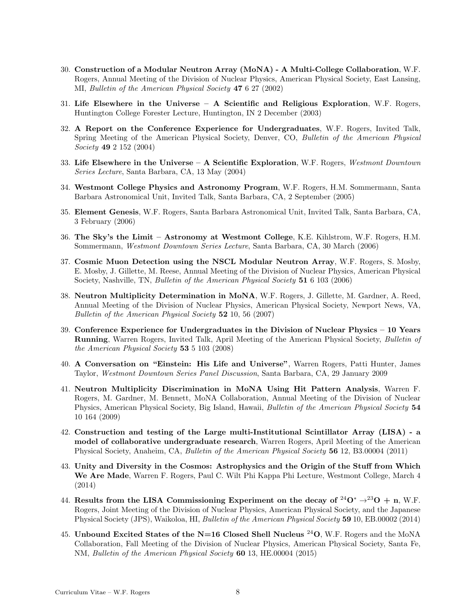- 30. Construction of a Modular Neutron Array (MoNA) A Multi-College Collaboration, W.F. Rogers, Annual Meeting of the Division of Nuclear Physics, American Physical Society, East Lansing, MI, Bulletin of the American Physical Society 47 6 27 (2002)
- 31. Life Elsewhere in the Universe A Scientific and Religious Exploration, W.F. Rogers, Huntington College Forester Lecture, Huntington, IN 2 December (2003)
- 32. A Report on the Conference Experience for Undergraduates, W.F. Rogers, Invited Talk, Spring Meeting of the American Physical Society, Denver, CO, Bulletin of the American Physical Society 49 2 152 (2004)
- 33. Life Elsewhere in the Universe A Scientific Exploration, W.F. Rogers, Westmont Downtown Series Lecture, Santa Barbara, CA, 13 May (2004)
- 34. Westmont College Physics and Astronomy Program, W.F. Rogers, H.M. Sommermann, Santa Barbara Astronomical Unit, Invited Talk, Santa Barbara, CA, 2 September (2005)
- 35. Element Genesis, W.F. Rogers, Santa Barbara Astronomical Unit, Invited Talk, Santa Barbara, CA, 3 February (2006)
- 36. The Sky's the Limit Astronomy at Westmont College, K.E. Kihlstrom, W.F. Rogers, H.M. Sommermann, Westmont Downtown Series Lecture, Santa Barbara, CA, 30 March (2006)
- 37. Cosmic Muon Detection using the NSCL Modular Neutron Array, W.F. Rogers, S. Mosby, E. Mosby, J. Gillette, M. Reese, Annual Meeting of the Division of Nuclear Physics, American Physical Society, Nashville, TN, Bulletin of the American Physical Society 51 6 103 (2006)
- 38. Neutron Multiplicity Determination in MoNA, W.F. Rogers, J. Gillette, M. Gardner, A. Reed, Annual Meeting of the Division of Nuclear Physics, American Physical Society, Newport News, VA, Bulletin of the American Physical Society 52 10, 56 (2007)
- 39. Conference Experience for Undergraduates in the Division of Nuclear Physics 10 Years Running, Warren Rogers, Invited Talk, April Meeting of the American Physical Society, Bulletin of the American Physical Society 53 5 103 (2008)
- 40. A Conversation on "Einstein: His Life and Universe", Warren Rogers, Patti Hunter, James Taylor, Westmont Downtown Series Panel Discussion, Santa Barbara, CA, 29 January 2009
- 41. Neutron Multiplicity Discrimination in MoNA Using Hit Pattern Analysis, Warren F. Rogers, M. Gardner, M. Bennett, MoNA Collaboration, Annual Meeting of the Division of Nuclear Physics, American Physical Society, Big Island, Hawaii, *Bulletin of the American Physical Society* 54 10 164 (2009)
- 42. Construction and testing of the Large multi-Institutional Scintillator Array (LISA) a model of collaborative undergraduate research, Warren Rogers, April Meeting of the American Physical Society, Anaheim, CA, Bulletin of the American Physical Society 56 12, B3.00004 (2011)
- 43. Unity and Diversity in the Cosmos: Astrophysics and the Origin of the Stuff from Which We Are Made, Warren F. Rogers, Paul C. Wilt Phi Kappa Phi Lecture, Westmont College, March 4 (2014)
- 44. Results from the LISA Commissioning Experiment on the decay of <sup>24</sup>O<sup>\*</sup>  $\rightarrow$ <sup>23</sup>O + n, W.F. Rogers, Joint Meeting of the Division of Nuclear Physics, American Physical Society, and the Japanese Physical Society (JPS), Waikoloa, HI, Bulletin of the American Physical Society 59 10, EB.00002 (2014)
- 45. Unbound Excited States of the N=16 Closed Shell Nucleus  $^{24}$ O, W.F. Rogers and the MoNA Collaboration, Fall Meeting of the Division of Nuclear Physics, American Physical Society, Santa Fe, NM, Bulletin of the American Physical Society 60 13, HE.00004 (2015)